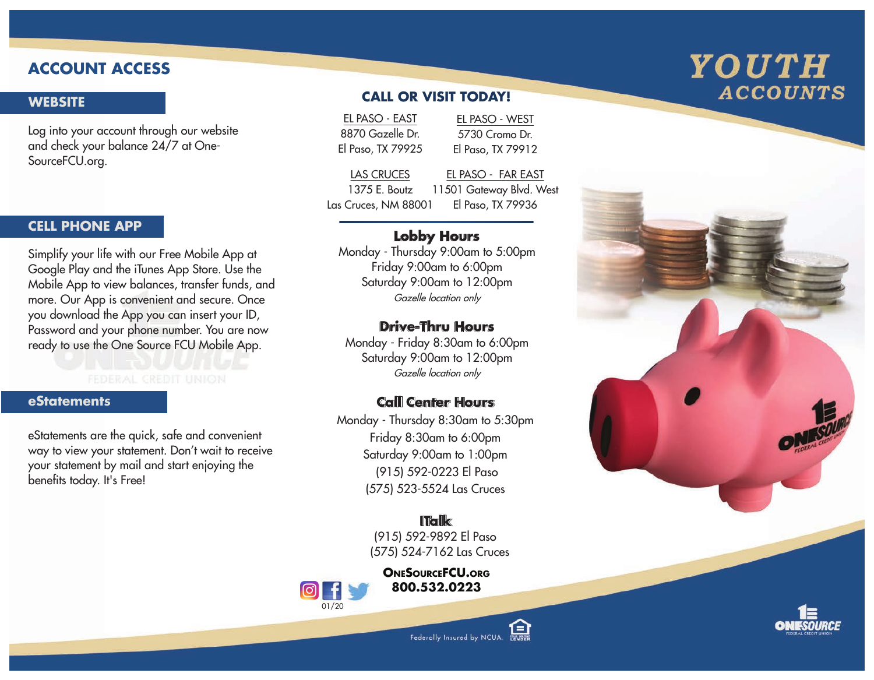# **ACCOUNT ACCESS**

### **WEBSITE**

Log into your account through our website and check your balance 24/7 at One-SourceFCU.org.

#### **CELL PHONE APP**

Simplify your life with our Free Mobile App at Google Play and the iTunes App Store. Use the Mobile App to view balances, transfer funds, and more. Our App is convenient and secure. Once you download the App you can insert your ID, Password and your phone number. You are now ready to use the One Source FCU Mobile App.

#### **eStatements**

eStatements are the quick, safe and convenient way to view your statement. Don't wait to receive your statement by mail and start enjoying the benefits today. It's Free!

#### **CALL OR VISIT TODAY!**

EL PASO - EAST 8870 Gazelle Dr. El Paso, TX 79925

EL PASO - WEST 5730 Cromo Dr. El Paso, TX 79912

EL PASO - FAR EAST

#### LAS CRUCES

1375 E. Boutz 11501 Gateway Blvd. West

Las Cruces, NM 88001 El Paso, TX 79936

#### **Lobby Hours**

Monday - Thursday 9:00am to 5:00pm Friday 9:00am to 6:00pm Saturday 9:00am to 12:00pm Gazelle location only

#### **Drive-Thru Hours**

Monday - Friday 8:30am to 6:00pm Saturday 9:00am to 12:00pm Gazelle location only

### **Call Center Hours**

Monday - Thursday 8:30am to 5:30pm Friday 8:30am to 6:00pm Saturday 9:00am to 1:00pm (915) 592-0223 El Paso (575) 523-5524 Las Cruces

> **ITalk** (915) 592-9892 El Paso (575) 524-7162 Las Cruces

**ONESOURCEFCU.ORG 800.532.0223**



Federally Insured by NCUA.



YOUTH

**ACCOUNTS**